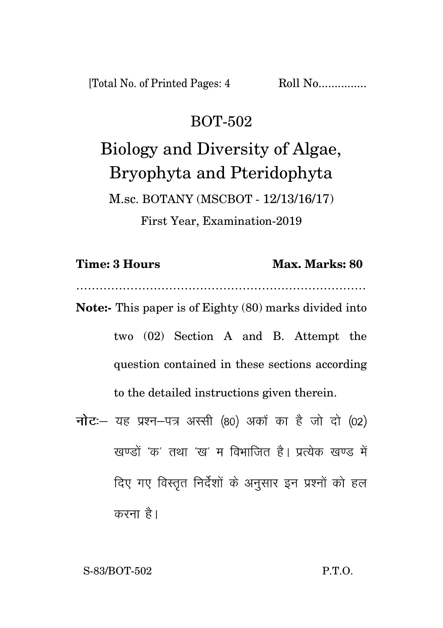[Total No. of Printed Pages: 4 Roll No................

### BOT-502

Biology and Diversity of Algae, Bryophyta and Pteridophyta M.sc. BOTANY (MSCBOT - 12/13/16/17) First Year, Examination-2019

…………………………………………………………………

**Note:-** This paper is of Eighty (80) marks divided into two (02) Section A and B. Attempt the question contained in these sections according to the detailed instructions given therein.

नोट: यह प्रश्न-पत्र अस्सी (80) अकों का है जो दो (02) खण्डों 'क' तथा 'ख' म विभाजित है। प्रत्येक खण्ड में दिए गए विस्तृत निर्देशों के अनुसार इन प्रश्नों को हल करना है।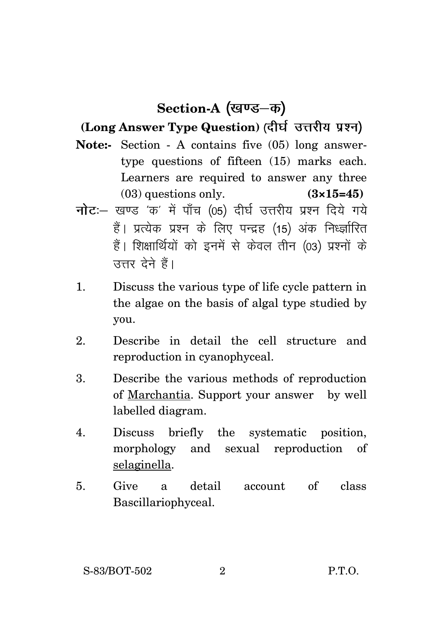# Section-A (खण्ड–क)

#### **(Long Answer Type Question)**

- **Note:-** Section A contains five (05) long answertype questions of fifteen (15) marks each. Learners are required to answer any three (03) questions only. **(3×15=45)**
- नोट :- खण्ड 'क' में पाँच (05) दीर्घ उत्तरीय प्रश्न दिये गये हैं। प्रत्येक प्रश्न के लिए पन्द्रह (15) अंक निर्ध्जारित हैं। शिक्षार्थियों को इनमें से केवल तीन (03) प्रश्नों के उत्तर देने हैं।
- 1. Discuss the various type of life cycle pattern in the algae on the basis of algal type studied by you.
- 2. Describe in detail the cell structure and reproduction in cyanophyceal.
- 3. Describe the various methods of reproduction of Marchantia. Support your answer by well labelled diagram.
- 4. Discuss briefly the systematic position, morphology and sexual reproduction of selaginella.
- 5. Give a detail account of class Bascillariophyceal.

S-83/BOT-502 2 P.T.O.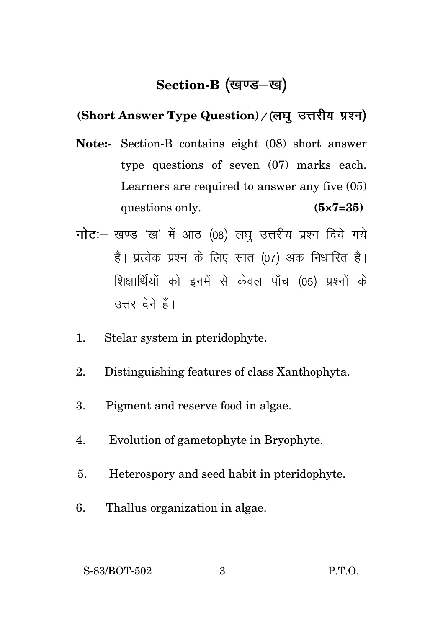## Section-B (खण्ड-ख)

#### **(Short Answer Type Question)**

- **Note:-** Section-B contains eight (08) short answer type questions of seven (07) marks each. Learners are required to answer any five (05) questions only. **(5×7=35)**
- नोट :- खण्ड 'ख' में आठ (08) लघु उत्तरीय प्रश्न दिये गये हैं। प्रत्येक प्रश्न के लिए सात (07) अंक निधारित है। शिक्षार्थियों को इनमें से केवल पाँच (05) प्रश्नों के उत्तर देने हैं।
- 1. Stelar system in pteridophyte.
- 2. Distinguishing features of class Xanthophyta.
- 3. Pigment and reserve food in algae.
- 4. Evolution of gametophyte in Bryophyte.
- 5. Heterospory and seed habit in pteridophyte.
- 6. Thallus organization in algae.

S-83/BOT-502 3 P.T.O.